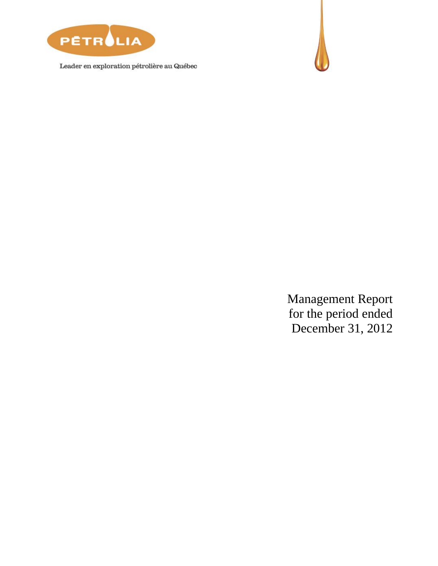

Leader en exploration pétrolière au Québec



Management Report for the period ended December 31, 2012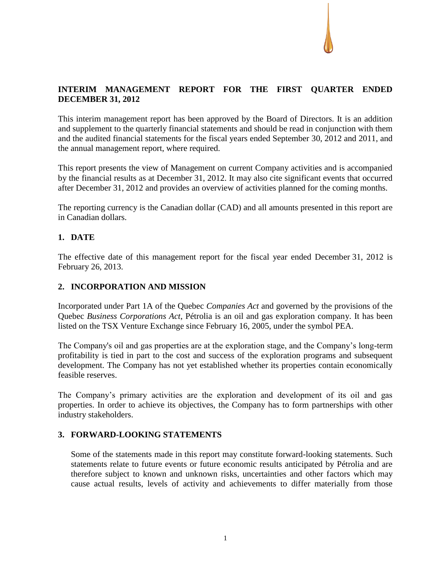

# **INTERIM MANAGEMENT REPORT FOR THE FIRST QUARTER ENDED DECEMBER 31, 2012**

This interim management report has been approved by the Board of Directors. It is an addition and supplement to the quarterly financial statements and should be read in conjunction with them and the audited financial statements for the fiscal years ended September 30, 2012 and 2011, and the annual management report, where required.

This report presents the view of Management on current Company activities and is accompanied by the financial results as at December 31, 2012. It may also cite significant events that occurred after December 31, 2012 and provides an overview of activities planned for the coming months.

The reporting currency is the Canadian dollar (CAD) and all amounts presented in this report are in Canadian dollars.

# **1. DATE**

The effective date of this management report for the fiscal year ended December 31, 2012 is February 26, 2013.

# **2. INCORPORATION AND MISSION**

Incorporated under Part 1A of the Quebec *Companies Act* and governed by the provisions of the Quebec *Business Corporations Act*, Pétrolia is an oil and gas exploration company. It has been listed on the TSX Venture Exchange since February 16, 2005, under the symbol PEA.

The Company's oil and gas properties are at the exploration stage, and the Company's long-term profitability is tied in part to the cost and success of the exploration programs and subsequent development. The Company has not yet established whether its properties contain economically feasible reserves.

The Company's primary activities are the exploration and development of its oil and gas properties. In order to achieve its objectives, the Company has to form partnerships with other industry stakeholders.

# **3. FORWARD-LOOKING STATEMENTS**

Some of the statements made in this report may constitute forward-looking statements. Such statements relate to future events or future economic results anticipated by Pétrolia and are therefore subject to known and unknown risks, uncertainties and other factors which may cause actual results, levels of activity and achievements to differ materially from those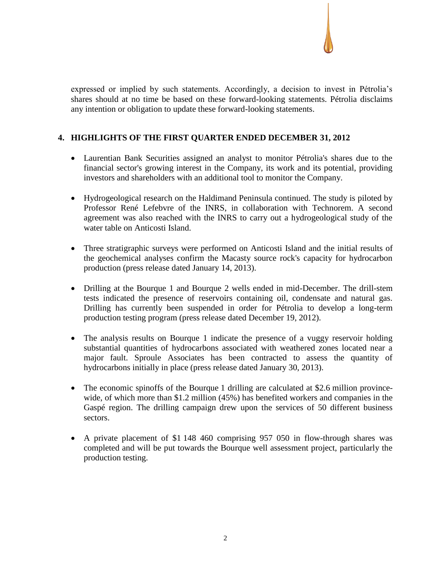expressed or implied by such statements. Accordingly, a decision to invest in Pétrolia's shares should at no time be based on these forward-looking statements. Pétrolia disclaims any intention or obligation to update these forward-looking statements.

# **4. HIGHLIGHTS OF THE FIRST QUARTER ENDED DECEMBER 31, 2012**

- Laurentian Bank Securities assigned an analyst to monitor Pétrolia's shares due to the financial sector's growing interest in the Company, its work and its potential, providing investors and shareholders with an additional tool to monitor the Company.
- Hydrogeological research on the Haldimand Peninsula continued. The study is piloted by Professor René Lefebvre of the INRS, in collaboration with Technorem. A second agreement was also reached with the INRS to carry out a hydrogeological study of the water table on Anticosti Island.
- Three stratigraphic surveys were performed on Anticosti Island and the initial results of the geochemical analyses confirm the Macasty source rock's capacity for hydrocarbon production (press release dated January 14, 2013).
- Drilling at the Bourque 1 and Bourque 2 wells ended in mid-December. The drill-stem tests indicated the presence of reservoirs containing oil, condensate and natural gas. Drilling has currently been suspended in order for Pétrolia to develop a long-term production testing program (press release dated December 19, 2012).
- The analysis results on Bourque 1 indicate the presence of a vuggy reservoir holding substantial quantities of hydrocarbons associated with weathered zones located near a major fault. Sproule Associates has been contracted to assess the quantity of hydrocarbons initially in place (press release dated January 30, 2013).
- The economic spinoffs of the Bourque 1 drilling are calculated at \$2.6 million provincewide, of which more than \$1.2 million (45%) has benefited workers and companies in the Gaspé region. The drilling campaign drew upon the services of 50 different business sectors.
- A private placement of \$1 148 460 comprising 957 050 in flow-through shares was completed and will be put towards the Bourque well assessment project, particularly the production testing.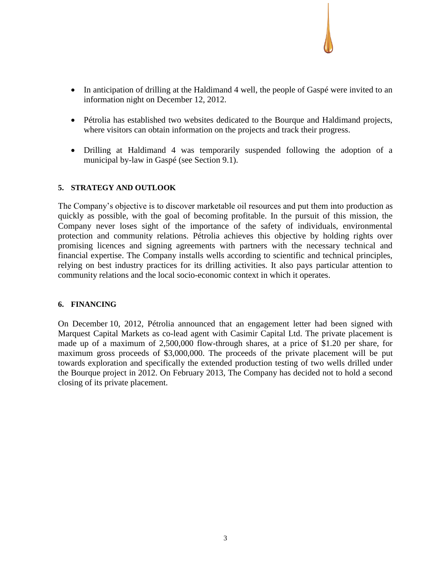- In anticipation of drilling at the Haldimand 4 well, the people of Gaspé were invited to an information night on December 12, 2012.
- Pétrolia has established two websites dedicated to the Bourque and Haldimand projects, where visitors can obtain information on the projects and track their progress.
- Drilling at Haldimand 4 was temporarily suspended following the adoption of a municipal by-law in Gaspé (see Section 9.1).

### **5. STRATEGY AND OUTLOOK**

The Company's objective is to discover marketable oil resources and put them into production as quickly as possible, with the goal of becoming profitable. In the pursuit of this mission, the Company never loses sight of the importance of the safety of individuals, environmental protection and community relations. Pétrolia achieves this objective by holding rights over promising licences and signing agreements with partners with the necessary technical and financial expertise. The Company installs wells according to scientific and technical principles, relying on best industry practices for its drilling activities. It also pays particular attention to community relations and the local socio-economic context in which it operates.

#### **6. FINANCING**

On December 10, 2012, Pétrolia announced that an engagement letter had been signed with Marquest Capital Markets as co-lead agent with Casimir Capital Ltd. The private placement is made up of a maximum of 2,500,000 flow-through shares, at a price of \$1.20 per share, for maximum gross proceeds of \$3,000,000. The proceeds of the private placement will be put towards exploration and specifically the extended production testing of two wells drilled under the Bourque project in 2012. On February 2013, The Company has decided not to hold a second closing of its private placement.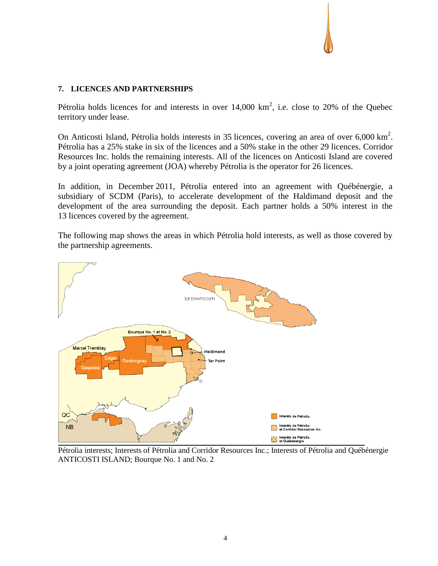## **7. LICENCES AND PARTNERSHIPS**

Pétrolia holds licences for and interests in over  $14,000 \text{ km}^2$ , i.e. close to 20% of the Quebec territory under lease.

On Anticosti Island, Pétrolia holds interests in 35 licences, covering an area of over 6,000 km<sup>2</sup>. Pétrolia has a 25% stake in six of the licences and a 50% stake in the other 29 licences. Corridor Resources Inc. holds the remaining interests. All of the licences on Anticosti Island are covered by a joint operating agreement (JOA) whereby Pétrolia is the operator for 26 licences.

In addition, in December 2011, Pétrolia entered into an agreement with Québénergie, a subsidiary of SCDM (Paris), to accelerate development of the Haldimand deposit and the development of the area surrounding the deposit. Each partner holds a 50% interest in the 13 licences covered by the agreement.

The following map shows the areas in which Pétrolia hold interests, as well as those covered by the partnership agreements.



Pétrolia interests; Interests of Pétrolia and Corridor Resources Inc.; Interests of Pétrolia and Québénergie ANTICOSTI ISLAND; Bourque No. 1 and No. 2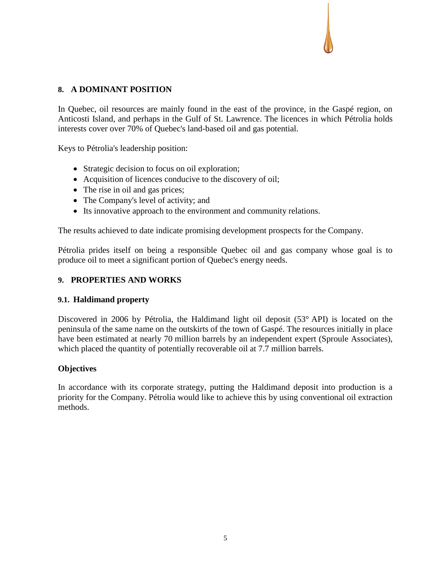## **8. A DOMINANT POSITION**

In Quebec, oil resources are mainly found in the east of the province, in the Gaspé region, on Anticosti Island, and perhaps in the Gulf of St. Lawrence. The licences in which Pétrolia holds interests cover over 70% of Quebec's land-based oil and gas potential.

Keys to Pétrolia's leadership position:

- Strategic decision to focus on oil exploration;
- Acquisition of licences conducive to the discovery of oil;
- The rise in oil and gas prices;
- The Company's level of activity; and
- Its innovative approach to the environment and community relations.

The results achieved to date indicate promising development prospects for the Company.

Pétrolia prides itself on being a responsible Quebec oil and gas company whose goal is to produce oil to meet a significant portion of Quebec's energy needs.

## **9. PROPERTIES AND WORKS**

## **9.1. Haldimand property**

Discovered in 2006 by Pétrolia, the Haldimand light oil deposit (53° API) is located on the peninsula of the same name on the outskirts of the town of Gaspé. The resources initially in place have been estimated at nearly 70 million barrels by an independent expert (Sproule Associates), which placed the quantity of potentially recoverable oil at 7.7 million barrels.

## **Objectives**

In accordance with its corporate strategy, putting the Haldimand deposit into production is a priority for the Company. Pétrolia would like to achieve this by using conventional oil extraction methods.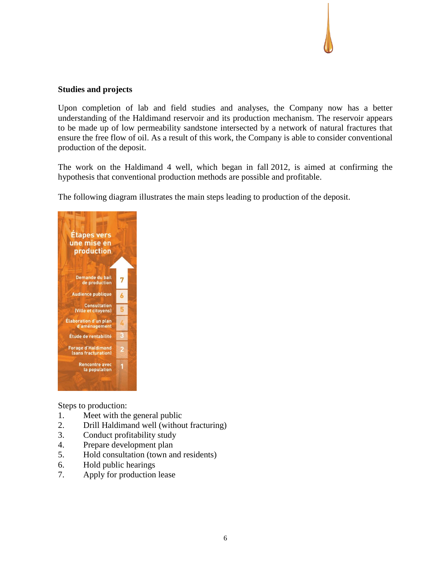### **Studies and projects**

Upon completion of lab and field studies and analyses, the Company now has a better understanding of the Haldimand reservoir and its production mechanism. The reservoir appears to be made up of low permeability sandstone intersected by a network of natural fractures that ensure the free flow of oil. As a result of this work, the Company is able to consider conventional production of the deposit.

The work on the Haldimand 4 well, which began in fall 2012, is aimed at confirming the hypothesis that conventional production methods are possible and profitable.

The following diagram illustrates the main steps leading to production of the deposit.



Steps to production:

- 1. Meet with the general public
- 2. Drill Haldimand well (without fracturing)
- 3. Conduct profitability study
- 4. Prepare development plan
- 5. Hold consultation (town and residents)
- 6. Hold public hearings
- 7. Apply for production lease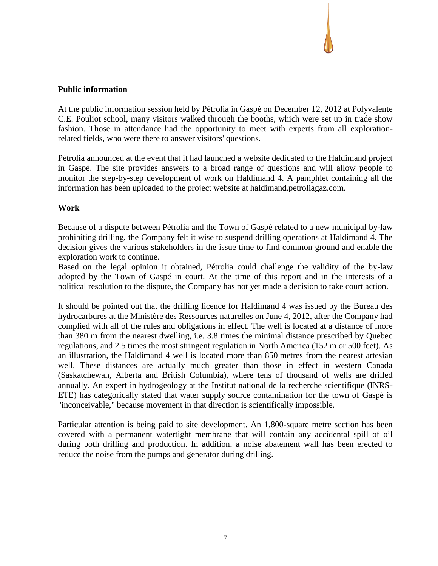#### **Public information**

At the public information session held by Pétrolia in Gaspé on December 12, 2012 at Polyvalente C.E. Pouliot school, many visitors walked through the booths, which were set up in trade show fashion. Those in attendance had the opportunity to meet with experts from all explorationrelated fields, who were there to answer visitors' questions.

Pétrolia announced at the event that it had launched a website dedicated to the Haldimand project in Gaspé. The site provides answers to a broad range of questions and will allow people to monitor the step-by-step development of work on Haldimand 4. A pamphlet containing all the information has been uploaded to the project website at haldimand.petroliagaz.com.

### **Work**

Because of a dispute between Pétrolia and the Town of Gaspé related to a new municipal by-law prohibiting drilling, the Company felt it wise to suspend drilling operations at Haldimand 4. The decision gives the various stakeholders in the issue time to find common ground and enable the exploration work to continue.

Based on the legal opinion it obtained, Pétrolia could challenge the validity of the by-law adopted by the Town of Gaspé in court. At the time of this report and in the interests of a political resolution to the dispute, the Company has not yet made a decision to take court action.

It should be pointed out that the drilling licence for Haldimand 4 was issued by the Bureau des hydrocarbures at the Ministère des Ressources naturelles on June 4, 2012, after the Company had complied with all of the rules and obligations in effect. The well is located at a distance of more than 380 m from the nearest dwelling, i.e. 3.8 times the minimal distance prescribed by Quebec regulations, and 2.5 times the most stringent regulation in North America (152 m or 500 feet). As an illustration, the Haldimand 4 well is located more than 850 metres from the nearest artesian well. These distances are actually much greater than those in effect in western Canada (Saskatchewan, Alberta and British Columbia), where tens of thousand of wells are drilled annually. An expert in hydrogeology at the Institut national de la recherche scientifique (INRS-ETE) has categorically stated that water supply source contamination for the town of Gaspé is "inconceivable," because movement in that direction is scientifically impossible.

Particular attention is being paid to site development. An 1,800-square metre section has been covered with a permanent watertight membrane that will contain any accidental spill of oil during both drilling and production. In addition, a noise abatement wall has been erected to reduce the noise from the pumps and generator during drilling.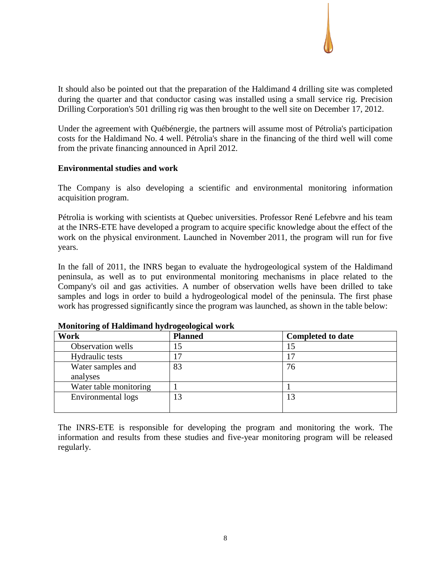It should also be pointed out that the preparation of the Haldimand 4 drilling site was completed during the quarter and that conductor casing was installed using a small service rig. Precision Drilling Corporation's 501 drilling rig was then brought to the well site on December 17, 2012.

Under the agreement with Québénergie, the partners will assume most of Pétrolia's participation costs for the Haldimand No. 4 well. Pétrolia's share in the financing of the third well will come from the private financing announced in April 2012.

### **Environmental studies and work**

The Company is also developing a scientific and environmental monitoring information acquisition program.

Pétrolia is working with scientists at Quebec universities. Professor René Lefebvre and his team at the INRS-ETE have developed a program to acquire specific knowledge about the effect of the work on the physical environment. Launched in November 2011, the program will run for five years.

In the fall of 2011, the INRS began to evaluate the hydrogeological system of the Haldimand peninsula, as well as to put environmental monitoring mechanisms in place related to the Company's oil and gas activities. A number of observation wells have been drilled to take samples and logs in order to build a hydrogeological model of the peninsula. The first phase work has progressed significantly since the program was launched, as shown in the table below:

| Work                          | <b>Planned</b> | <b>Completed to date</b> |
|-------------------------------|----------------|--------------------------|
| Observation wells             |                |                          |
| Hydraulic tests               |                |                          |
| Water samples and<br>analyses | 83             | 76                       |
| Water table monitoring        |                |                          |
| Environmental logs            | 13             |                          |

## **Monitoring of Haldimand hydrogeological work**

The INRS-ETE is responsible for developing the program and monitoring the work. The information and results from these studies and five-year monitoring program will be released regularly.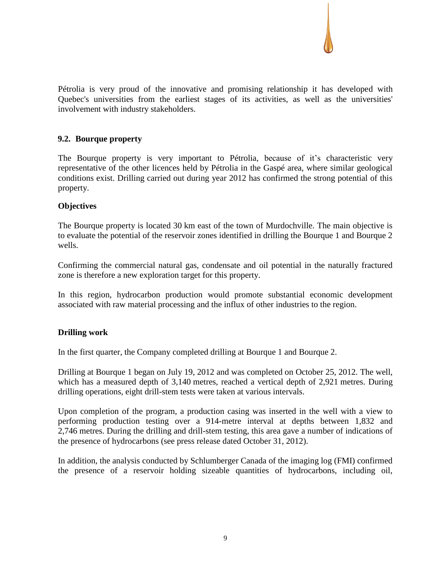Pétrolia is very proud of the innovative and promising relationship it has developed with Quebec's universities from the earliest stages of its activities, as well as the universities' involvement with industry stakeholders.

## **9.2. Bourque property**

The Bourque property is very important to Pétrolia, because of it's characteristic very representative of the other licences held by Pétrolia in the Gaspé area, where similar geological conditions exist. Drilling carried out during year 2012 has confirmed the strong potential of this property.

## **Objectives**

The Bourque property is located 30 km east of the town of Murdochville. The main objective is to evaluate the potential of the reservoir zones identified in drilling the Bourque 1 and Bourque 2 wells.

Confirming the commercial natural gas, condensate and oil potential in the naturally fractured zone is therefore a new exploration target for this property.

In this region, hydrocarbon production would promote substantial economic development associated with raw material processing and the influx of other industries to the region.

## **Drilling work**

In the first quarter, the Company completed drilling at Bourque 1 and Bourque 2.

Drilling at Bourque 1 began on July 19, 2012 and was completed on October 25, 2012. The well, which has a measured depth of 3,140 metres, reached a vertical depth of 2,921 metres. During drilling operations, eight drill-stem tests were taken at various intervals.

Upon completion of the program, a production casing was inserted in the well with a view to performing production testing over a 914-metre interval at depths between 1,832 and 2,746 metres. During the drilling and drill-stem testing, this area gave a number of indications of the presence of hydrocarbons (see press release dated October 31, 2012).

In addition, the analysis conducted by Schlumberger Canada of the imaging log (FMI) confirmed the presence of a reservoir holding sizeable quantities of hydrocarbons, including oil,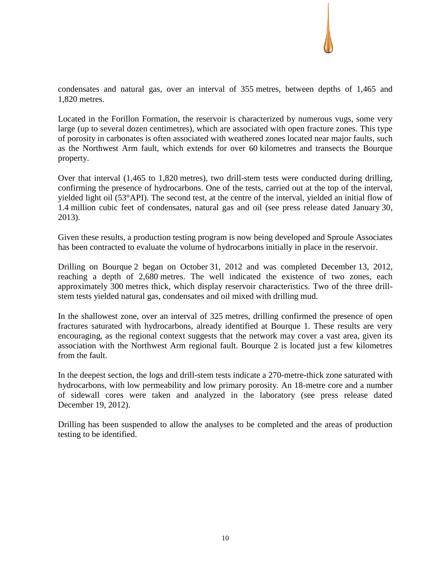

condensates and natural gas, over an interval of 355 metres, between depths of 1,465 and 1,820 metres.

Located in the Forillon Formation, the reservoir is characterized by numerous vugs, some very large (up to several dozen centimetres), which are associated with open fracture zones. This type of porosity in carbonates is often associated with weathered zones located near major faults, such as the Northwest Arm fault, which extends for over 60 kilometres and transects the Bourque property.

Over that interval (1,465 to 1,820 metres), two drill-stem tests were conducted during drilling, confirming the presence of hydrocarbons. One of the tests, carried out at the top of the interval, yielded light oil (53°API). The second test, at the centre of the interval, yielded an initial flow of 1.4 million cubic feet of condensates, natural gas and oil (see press release dated January 30, 2013).

Given these results, a production testing program is now being developed and Sproule Associates has been contracted to evaluate the volume of hydrocarbons initially in place in the reservoir.

Drilling on Bourque 2 began on October 31, 2012 and was completed December 13, 2012, reaching a depth of 2,680 metres. The well indicated the existence of two zones, each approximately 300 metres thick, which display reservoir characteristics. Two of the three drillstem tests yielded natural gas, condensates and oil mixed with drilling mud.

In the shallowest zone, over an interval of 325 metres, drilling confirmed the presence of open fractures saturated with hydrocarbons, already identified at Bourque 1. These results are very encouraging, as the regional context suggests that the network may cover a vast area, given its association with the Northwest Arm regional fault. Bourque 2 is located just a few kilometres from the fault.

In the deepest section, the logs and drill-stem tests indicate a 270-metre-thick zone saturated with hydrocarbons, with low permeability and low primary porosity. An 18-metre core and a number of sidewall cores were taken and analyzed in the laboratory (see press release dated December 19, 2012).

Drilling has been suspended to allow the analyses to be completed and the areas of production testing to be identified.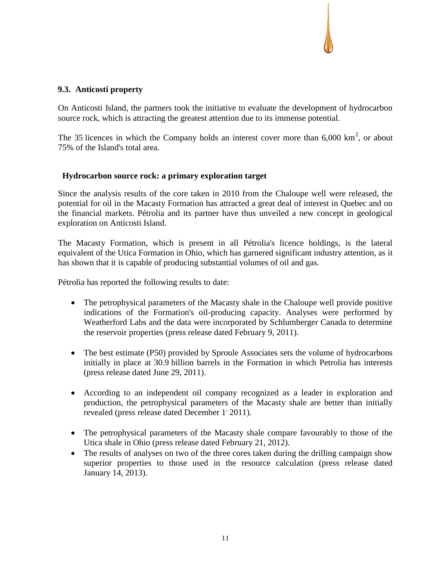## **9.3. Anticosti property**

On Anticosti Island, the partners took the initiative to evaluate the development of hydrocarbon source rock, which is attracting the greatest attention due to its immense potential.

The 35 licences in which the Company holds an interest cover more than  $6,000 \text{ km}^2$ , or about 75% of the Island's total area.

### **Hydrocarbon source rock: a primary exploration target**

Since the analysis results of the core taken in 2010 from the Chaloupe well were released, the potential for oil in the Macasty Formation has attracted a great deal of interest in Quebec and on the financial markets. Pétrolia and its partner have thus unveiled a new concept in geological exploration on Anticosti Island.

The Macasty Formation, which is present in all Pétrolia's licence holdings, is the lateral equivalent of the Utica Formation in Ohio, which has garnered significant industry attention, as it has shown that it is capable of producing substantial volumes of oil and gas.

Pétrolia has reported the following results to date:

- The petrophysical parameters of the Macasty shale in the Chaloupe well provide positive indications of the Formation's oil-producing capacity. Analyses were performed by Weatherford Labs and the data were incorporated by Schlumberger Canada to determine the reservoir properties (press release dated February 9, 2011).
- The best estimate (P50) provided by Sproule Associates sets the volume of hydrocarbons initially in place at 30.9 billion barrels in the Formation in which Petrolia has interests (press release dated June 29, 2011).
- According to an independent oil company recognized as a leader in exploration and production, the petrophysical parameters of the Macasty shale are better than initially revealed (press release dated December 1' 2011).
- The petrophysical parameters of the Macasty shale compare favourably to those of the Utica shale in Ohio (press release dated February 21, 2012).
- The results of analyses on two of the three cores taken during the drilling campaign show superior properties to those used in the resource calculation (press release dated January 14, 2013).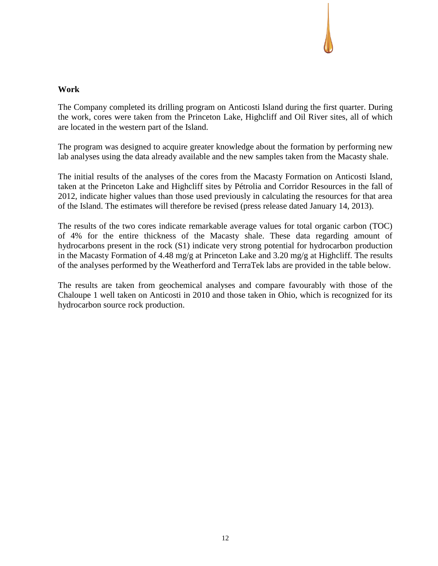# **Work**

The Company completed its drilling program on Anticosti Island during the first quarter. During the work, cores were taken from the Princeton Lake, Highcliff and Oil River sites, all of which are located in the western part of the Island.

The program was designed to acquire greater knowledge about the formation by performing new lab analyses using the data already available and the new samples taken from the Macasty shale.

The initial results of the analyses of the cores from the Macasty Formation on Anticosti Island, taken at the Princeton Lake and Highcliff sites by Pétrolia and Corridor Resources in the fall of 2012, indicate higher values than those used previously in calculating the resources for that area of the Island. The estimates will therefore be revised (press release dated January 14, 2013).

The results of the two cores indicate remarkable average values for total organic carbon (TOC) of 4% for the entire thickness of the Macasty shale. These data regarding amount of hydrocarbons present in the rock (S1) indicate very strong potential for hydrocarbon production in the Macasty Formation of 4.48 mg/g at Princeton Lake and 3.20 mg/g at Highcliff. The results of the analyses performed by the Weatherford and TerraTek labs are provided in the table below.

The results are taken from geochemical analyses and compare favourably with those of the Chaloupe 1 well taken on Anticosti in 2010 and those taken in Ohio, which is recognized for its hydrocarbon source rock production.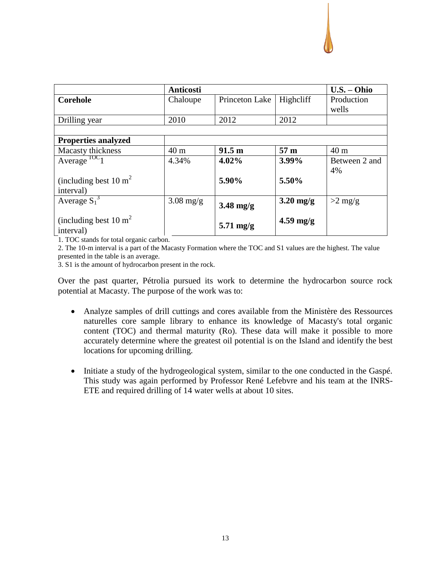

|                                   | Anticosti   |                     |                 | $U.S. - Ohio$ |
|-----------------------------------|-------------|---------------------|-----------------|---------------|
| <b>Corehole</b>                   | Chaloupe    | Princeton Lake      | Highcliff       | Production    |
|                                   |             |                     |                 | wells         |
| Drilling year                     | 2010        | 2012                | 2012            |               |
|                                   |             |                     |                 |               |
| <b>Properties analyzed</b>        |             |                     |                 |               |
| Macasty thickness                 | 40 m        | 91.5 <sub>m</sub>   | 57 <sub>m</sub> | 40 m          |
| Average $\overline{C_1}$          | 4.34%       | $4.02\%$            | 3.99%           | Between 2 and |
|                                   |             |                     |                 | 4%            |
| (including best 10 m <sup>2</sup> |             | 5.90%               | 5.50%           |               |
| interval)                         |             |                     |                 |               |
| Average $S_1^3$                   | $3.08$ mg/g | $3.48$ mg/g         | $3.20$ mg/g     | $>2$ mg/g     |
|                                   |             |                     |                 |               |
| (including best 10 m <sup>2</sup> |             | $5.71 \text{ mg/g}$ | $4.59$ mg/g     |               |
| interval)                         |             |                     |                 |               |

1. TOC stands for total organic carbon.

2. The 10-m interval is a part of the Macasty Formation where the TOC and S1 values are the highest. The value presented in the table is an average.

3. S1 is the amount of hydrocarbon present in the rock.

Over the past quarter, Pétrolia pursued its work to determine the hydrocarbon source rock potential at Macasty. The purpose of the work was to:

- Analyze samples of drill cuttings and cores available from the Ministère des Ressources naturelles core sample library to enhance its knowledge of Macasty's total organic content (TOC) and thermal maturity (Ro). These data will make it possible to more accurately determine where the greatest oil potential is on the Island and identify the best locations for upcoming drilling.
- Initiate a study of the hydrogeological system, similar to the one conducted in the Gaspé. This study was again performed by Professor René Lefebvre and his team at the INRS-ETE and required drilling of 14 water wells at about 10 sites.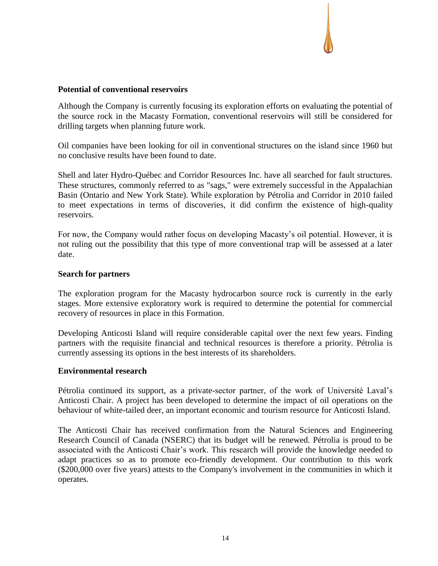## **Potential of conventional reservoirs**

Although the Company is currently focusing its exploration efforts on evaluating the potential of the source rock in the Macasty Formation, conventional reservoirs will still be considered for drilling targets when planning future work.

Oil companies have been looking for oil in conventional structures on the island since 1960 but no conclusive results have been found to date.

Shell and later Hydro-Québec and Corridor Resources Inc. have all searched for fault structures. These structures, commonly referred to as "sags," were extremely successful in the Appalachian Basin (Ontario and New York State). While exploration by Pétrolia and Corridor in 2010 failed to meet expectations in terms of discoveries, it did confirm the existence of high-quality reservoirs.

For now, the Company would rather focus on developing Macasty's oil potential. However, it is not ruling out the possibility that this type of more conventional trap will be assessed at a later date.

#### **Search for partners**

The exploration program for the Macasty hydrocarbon source rock is currently in the early stages. More extensive exploratory work is required to determine the potential for commercial recovery of resources in place in this Formation.

Developing Anticosti Island will require considerable capital over the next few years. Finding partners with the requisite financial and technical resources is therefore a priority. Pétrolia is currently assessing its options in the best interests of its shareholders.

#### **Environmental research**

Pétrolia continued its support, as a private-sector partner, of the work of Université Laval's Anticosti Chair. A project has been developed to determine the impact of oil operations on the behaviour of white-tailed deer, an important economic and tourism resource for Anticosti Island.

The Anticosti Chair has received confirmation from the Natural Sciences and Engineering Research Council of Canada (NSERC) that its budget will be renewed. Pétrolia is proud to be associated with the Anticosti Chair's work. This research will provide the knowledge needed to adapt practices so as to promote eco-friendly development. Our contribution to this work (\$200,000 over five years) attests to the Company's involvement in the communities in which it operates.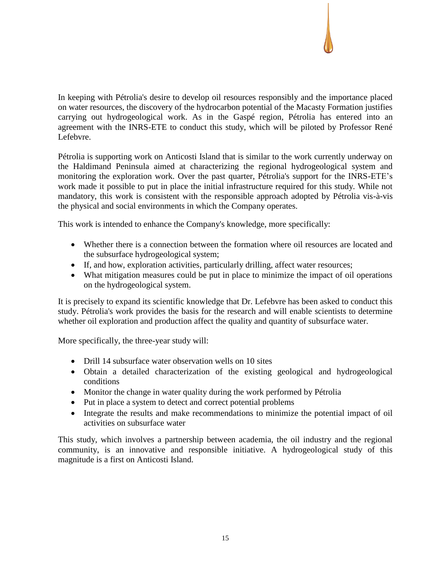

In keeping with Pétrolia's desire to develop oil resources responsibly and the importance placed on water resources, the discovery of the hydrocarbon potential of the Macasty Formation justifies carrying out hydrogeological work. As in the Gaspé region, Pétrolia has entered into an agreement with the INRS-ETE to conduct this study, which will be piloted by Professor René Lefebvre.

Pétrolia is supporting work on Anticosti Island that is similar to the work currently underway on the Haldimand Peninsula aimed at characterizing the regional hydrogeological system and monitoring the exploration work. Over the past quarter, Pétrolia's support for the INRS-ETE's work made it possible to put in place the initial infrastructure required for this study. While not mandatory, this work is consistent with the responsible approach adopted by Pétrolia vis-à-vis the physical and social environments in which the Company operates.

This work is intended to enhance the Company's knowledge, more specifically:

- Whether there is a connection between the formation where oil resources are located and the subsurface hydrogeological system;
- If, and how, exploration activities, particularly drilling, affect water resources;
- What mitigation measures could be put in place to minimize the impact of oil operations on the hydrogeological system.

It is precisely to expand its scientific knowledge that Dr. Lefebvre has been asked to conduct this study. Pétrolia's work provides the basis for the research and will enable scientists to determine whether oil exploration and production affect the quality and quantity of subsurface water.

More specifically, the three-year study will:

- Drill 14 subsurface water observation wells on 10 sites
- Obtain a detailed characterization of the existing geological and hydrogeological conditions
- Monitor the change in water quality during the work performed by Pétrolia
- Put in place a system to detect and correct potential problems
- Integrate the results and make recommendations to minimize the potential impact of oil activities on subsurface water

This study, which involves a partnership between academia, the oil industry and the regional community, is an innovative and responsible initiative. A hydrogeological study of this magnitude is a first on Anticosti Island.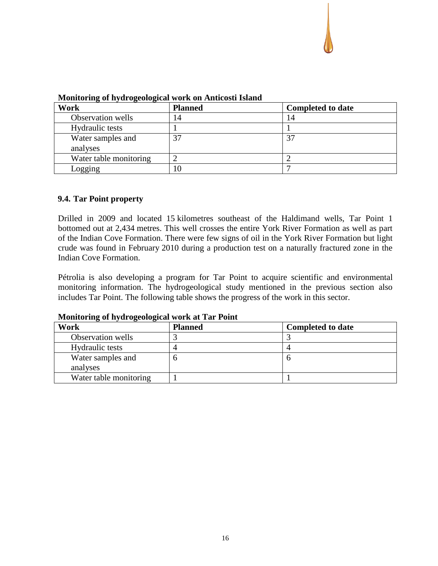

| $\ldots$               |                |                          |  |  |  |
|------------------------|----------------|--------------------------|--|--|--|
| Work                   | <b>Planned</b> | <b>Completed to date</b> |  |  |  |
| Observation wells      | 14             | 14                       |  |  |  |
| Hydraulic tests        |                |                          |  |  |  |
| Water samples and      | 37             |                          |  |  |  |
| analyses               |                |                          |  |  |  |
| Water table monitoring |                |                          |  |  |  |
| Logging                | 10             |                          |  |  |  |

**Monitoring of hydrogeological work on Anticosti Island**

## **9.4. Tar Point property**

Drilled in 2009 and located 15 kilometres southeast of the Haldimand wells, Tar Point 1 bottomed out at 2,434 metres. This well crosses the entire York River Formation as well as part of the Indian Cove Formation. There were few signs of oil in the York River Formation but light crude was found in February 2010 during a production test on a naturally fractured zone in the Indian Cove Formation.

Pétrolia is also developing a program for Tar Point to acquire scientific and environmental monitoring information. The hydrogeological study mentioned in the previous section also includes Tar Point. The following table shows the progress of the work in this sector.

| Work                   | <b>Planned</b> | <b>Completed to date</b> |
|------------------------|----------------|--------------------------|
| Observation wells      |                |                          |
| Hydraulic tests        |                |                          |
| Water samples and      |                |                          |
| analyses               |                |                          |
| Water table monitoring |                |                          |

**Monitoring of hydrogeological work at Tar Point**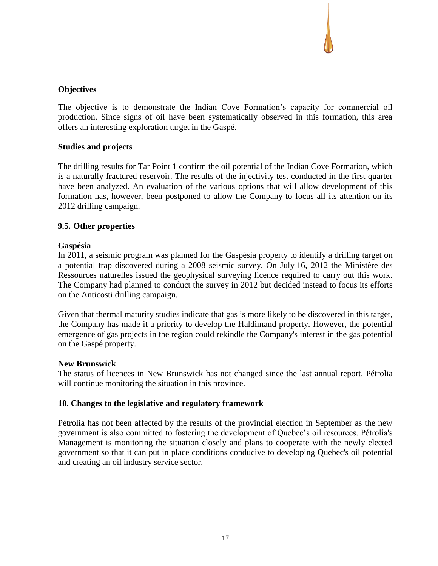## **Objectives**

The objective is to demonstrate the Indian Cove Formation's capacity for commercial oil production. Since signs of oil have been systematically observed in this formation, this area offers an interesting exploration target in the Gaspé.

#### **Studies and projects**

The drilling results for Tar Point 1 confirm the oil potential of the Indian Cove Formation, which is a naturally fractured reservoir. The results of the injectivity test conducted in the first quarter have been analyzed. An evaluation of the various options that will allow development of this formation has, however, been postponed to allow the Company to focus all its attention on its 2012 drilling campaign.

## **9.5. Other properties**

### **Gaspésia**

In 2011, a seismic program was planned for the Gaspésia property to identify a drilling target on a potential trap discovered during a 2008 seismic survey. On July 16, 2012 the Ministère des Ressources naturelles issued the geophysical surveying licence required to carry out this work. The Company had planned to conduct the survey in 2012 but decided instead to focus its efforts on the Anticosti drilling campaign.

Given that thermal maturity studies indicate that gas is more likely to be discovered in this target, the Company has made it a priority to develop the Haldimand property. However, the potential emergence of gas projects in the region could rekindle the Company's interest in the gas potential on the Gaspé property.

#### **New Brunswick**

The status of licences in New Brunswick has not changed since the last annual report. Pétrolia will continue monitoring the situation in this province.

#### **10. Changes to the legislative and regulatory framework**

Pétrolia has not been affected by the results of the provincial election in September as the new government is also committed to fostering the development of Quebec's oil resources. Pétrolia's Management is monitoring the situation closely and plans to cooperate with the newly elected government so that it can put in place conditions conducive to developing Quebec's oil potential and creating an oil industry service sector.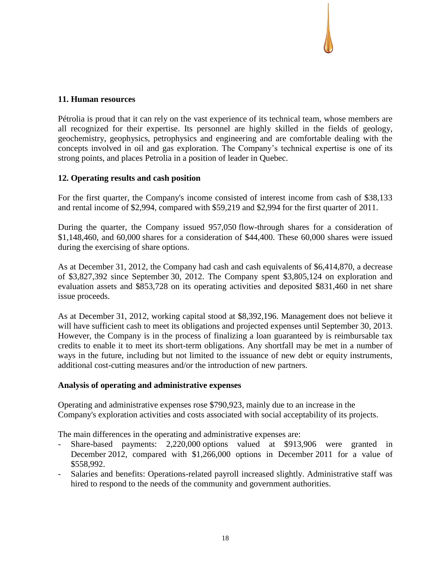## **11. Human resources**

Pétrolia is proud that it can rely on the vast experience of its technical team, whose members are all recognized for their expertise. Its personnel are highly skilled in the fields of geology, geochemistry, geophysics, petrophysics and engineering and are comfortable dealing with the concepts involved in oil and gas exploration. The Company's technical expertise is one of its strong points, and places Petrolia in a position of leader in Quebec.

## **12. Operating results and cash position**

For the first quarter, the Company's income consisted of interest income from cash of \$38,133 and rental income of \$2,994, compared with \$59,219 and \$2,994 for the first quarter of 2011.

During the quarter, the Company issued 957,050 flow-through shares for a consideration of \$1,148,460, and 60,000 shares for a consideration of \$44,400. These 60,000 shares were issued during the exercising of share options.

As at December 31, 2012, the Company had cash and cash equivalents of \$6,414,870, a decrease of \$3,827,392 since September 30, 2012. The Company spent \$3,805,124 on exploration and evaluation assets and \$853,728 on its operating activities and deposited \$831,460 in net share issue proceeds.

As at December 31, 2012, working capital stood at \$8,392,196. Management does not believe it will have sufficient cash to meet its obligations and projected expenses until September 30, 2013. However, the Company is in the process of finalizing a loan guaranteed by is reimbursable tax credits to enable it to meet its short-term obligations. Any shortfall may be met in a number of ways in the future, including but not limited to the issuance of new debt or equity instruments, additional cost-cutting measures and/or the introduction of new partners.

## **Analysis of operating and administrative expenses**

Operating and administrative expenses rose \$790,923, mainly due to an increase in the Company's exploration activities and costs associated with social acceptability of its projects.

The main differences in the operating and administrative expenses are:

- Share-based payments: 2,220,000 options valued at \$913,906 were granted in December 2012, compared with \$1,266,000 options in December 2011 for a value of \$558,992.
- Salaries and benefits: Operations-related payroll increased slightly. Administrative staff was hired to respond to the needs of the community and government authorities.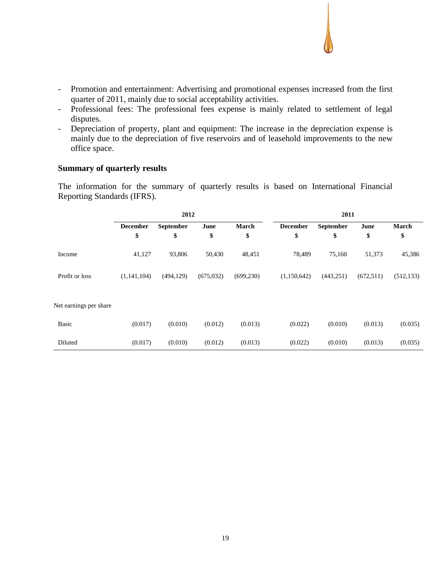- Promotion and entertainment: Advertising and promotional expenses increased from the first quarter of 2011, mainly due to social acceptability activities.
- Professional fees: The professional fees expense is mainly related to settlement of legal disputes.
- Depreciation of property, plant and equipment: The increase in the depreciation expense is mainly due to the depreciation of five reservoirs and of leasehold improvements to the new office space.

#### **Summary of quarterly results**

The information for the summary of quarterly results is based on International Financial Reporting Standards (IFRS).

|                        |                 | 2012             |            |            |                 |            |            |            |
|------------------------|-----------------|------------------|------------|------------|-----------------|------------|------------|------------|
|                        | <b>December</b> | <b>September</b> | June       | March      | <b>December</b> | September  | June       | March      |
|                        | \$              | \$               | \$         | \$         | \$              | \$         | \$         | \$         |
| Income                 | 41,127          | 93,806           | 50,430     | 48,451     | 78,489          | 75,160     | 51,373     | 45,386     |
| Profit or loss         | (1,141,104)     | (494, 129)       | (675, 032) | (699, 230) | (1,150,642)     | (443, 251) | (672, 511) | (512, 133) |
| Net earnings per share |                 |                  |            |            |                 |            |            |            |
| Basic                  | (0.017)         | (0.010)          | (0.012)    | (0.013)    | (0.022)         | (0.010)    | (0.013)    | (0.035)    |
| Diluted                | (0.017)         | (0.010)          | (0.012)    | (0.013)    | (0.022)         | (0.010)    | (0.013)    | (0.035)    |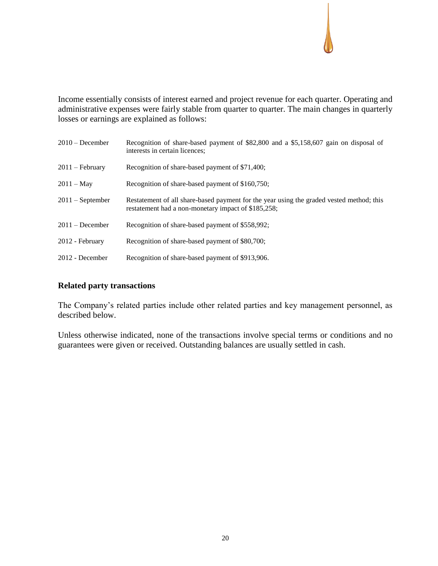Income essentially consists of interest earned and project revenue for each quarter. Operating and administrative expenses were fairly stable from quarter to quarter. The main changes in quarterly losses or earnings are explained as follows:

| $2010 - December$  | Recognition of share-based payment of \$82,800 and a \$5,158,607 gain on disposal of<br>interests in certain licences;                          |
|--------------------|-------------------------------------------------------------------------------------------------------------------------------------------------|
| $2011 - February$  | Recognition of share-based payment of \$71,400;                                                                                                 |
| $2011 - May$       | Recognition of share-based payment of \$160,750;                                                                                                |
| $2011 -$ September | Restatement of all share-based payment for the year using the graded vested method; this<br>restatement had a non-monetary impact of \$185,258; |
| $2011 - December$  | Recognition of share-based payment of \$558,992;                                                                                                |
| 2012 - February    | Recognition of share-based payment of \$80,700;                                                                                                 |
| 2012 - December    | Recognition of share-based payment of \$913,906.                                                                                                |

## **Related party transactions**

The Company's related parties include other related parties and key management personnel, as described below.

Unless otherwise indicated, none of the transactions involve special terms or conditions and no guarantees were given or received. Outstanding balances are usually settled in cash.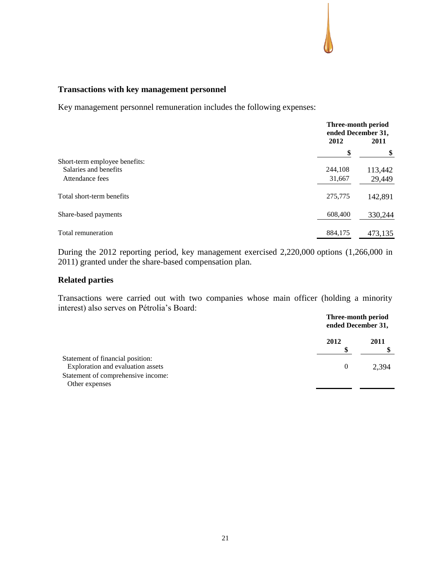۰.

## **Transactions with key management personnel**

Key management personnel remuneration includes the following expenses:

|                               | Three-month period<br>ended December 31,<br>2012 | 2011    |  |
|-------------------------------|--------------------------------------------------|---------|--|
|                               |                                                  | \$      |  |
| Short-term employee benefits: |                                                  |         |  |
| Salaries and benefits         | 244,108                                          | 113,442 |  |
| Attendance fees               | 31,667                                           | 29,449  |  |
| Total short-term benefits     | 275,775                                          | 142,891 |  |
| Share-based payments          | 608,400                                          | 330,244 |  |
| Total remuneration            | 884,175                                          | 473,135 |  |

During the 2012 reporting period, key management exercised 2,220,000 options (1,266,000 in 2011) granted under the share-based compensation plan.

## **Related parties**

Transactions were carried out with two companies whose main officer (holding a minority interest) also serves on Pétrolia's Board:

|                                    | Three-month period<br>ended December 31, |       |
|------------------------------------|------------------------------------------|-------|
|                                    | 2012                                     | 2011  |
| Statement of financial position:   |                                          |       |
| Exploration and evaluation assets  | $\theta$                                 | 2.394 |
| Statement of comprehensive income: |                                          |       |
| Other expenses                     |                                          |       |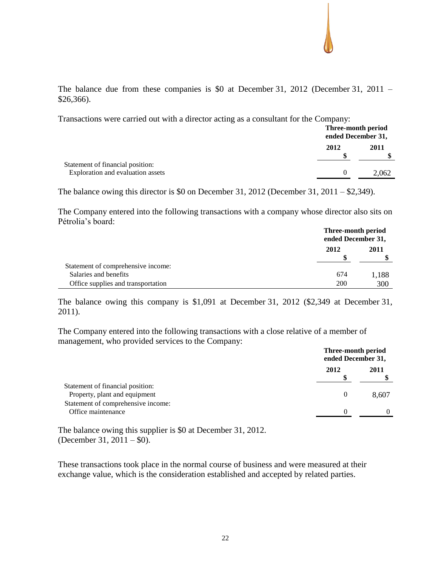The balance due from these companies is \$0 at December 31, 2012 (December 31, 2011 – \$26,366).

Transactions were carried out with a director acting as a consultant for the Company:

|                                                                       |      | Three-month period<br>ended December 31, |
|-----------------------------------------------------------------------|------|------------------------------------------|
|                                                                       | 2012 | 2011                                     |
| Statement of financial position:<br>Exploration and evaluation assets |      | 2.062                                    |

The balance owing this director is \$0 on December 31, 2012 (December 31, 2011 – \$2,349).

The Company entered into the following transactions with a company whose director also sits on Pétrolia's board:

|                                    | Three-month period<br>ended December 31, |       |
|------------------------------------|------------------------------------------|-------|
|                                    | 2012                                     | 2011  |
| Statement of comprehensive income: |                                          |       |
| Salaries and benefits              | 674                                      | 1,188 |
| Office supplies and transportation | 200                                      | 300   |

The balance owing this company is \$1,091 at December 31, 2012 (\$2,349 at December 31, 2011).

The Company entered into the following transactions with a close relative of a member of management, who provided services to the Company:

|                                                                   | Three-month period<br>ended December 31, |       |
|-------------------------------------------------------------------|------------------------------------------|-------|
|                                                                   | 2012                                     | 2011  |
| Statement of financial position:<br>Property, plant and equipment | 0                                        | 8,607 |
| Statement of comprehensive income:<br>Office maintenance          |                                          |       |

The balance owing this supplier is \$0 at December 31, 2012. (December 31, 2011 – \$0).

These transactions took place in the normal course of business and were measured at their exchange value, which is the consideration established and accepted by related parties.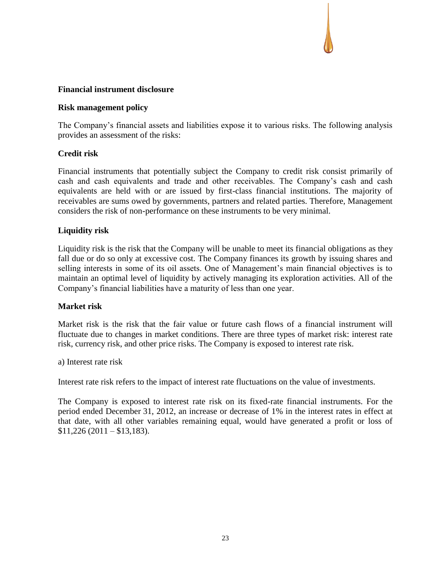## **Financial instrument disclosure**

#### **Risk management policy**

The Company's financial assets and liabilities expose it to various risks. The following analysis provides an assessment of the risks:

## **Credit risk**

Financial instruments that potentially subject the Company to credit risk consist primarily of cash and cash equivalents and trade and other receivables. The Company's cash and cash equivalents are held with or are issued by first-class financial institutions. The majority of receivables are sums owed by governments, partners and related parties. Therefore, Management considers the risk of non-performance on these instruments to be very minimal.

## **Liquidity risk**

Liquidity risk is the risk that the Company will be unable to meet its financial obligations as they fall due or do so only at excessive cost. The Company finances its growth by issuing shares and selling interests in some of its oil assets. One of Management's main financial objectives is to maintain an optimal level of liquidity by actively managing its exploration activities. All of the Company's financial liabilities have a maturity of less than one year.

## **Market risk**

Market risk is the risk that the fair value or future cash flows of a financial instrument will fluctuate due to changes in market conditions. There are three types of market risk: interest rate risk, currency risk, and other price risks. The Company is exposed to interest rate risk.

a) Interest rate risk

Interest rate risk refers to the impact of interest rate fluctuations on the value of investments.

The Company is exposed to interest rate risk on its fixed-rate financial instruments. For the period ended December 31, 2012, an increase or decrease of 1% in the interest rates in effect at that date, with all other variables remaining equal, would have generated a profit or loss of  $$11,226(2011 - $13,183).$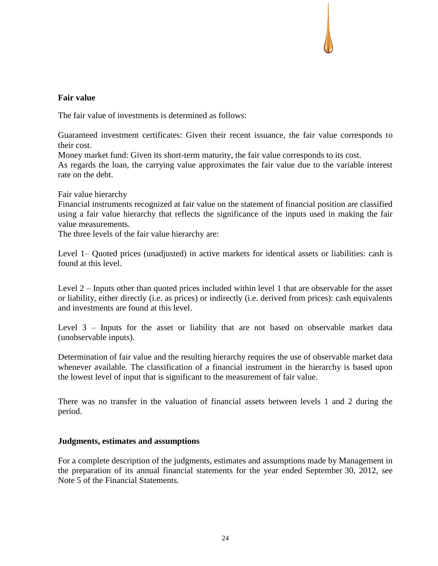## **Fair value**

The fair value of investments is determined as follows:

Guaranteed investment certificates: Given their recent issuance, the fair value corresponds to their cost.

Money market fund: Given its short-term maturity, the fair value corresponds to its cost.

As regards the loan, the carrying value approximates the fair value due to the variable interest rate on the debt.

Fair value hierarchy

Financial instruments recognized at fair value on the statement of financial position are classified using a fair value hierarchy that reflects the significance of the inputs used in making the fair value measurements.

The three levels of the fair value hierarchy are:

Level 1– Quoted prices (unadjusted) in active markets for identical assets or liabilities: cash is found at this level.

Level 2 – Inputs other than quoted prices included within level 1 that are observable for the asset or liability, either directly (i.e. as prices) or indirectly (i.e. derived from prices): cash equivalents and investments are found at this level.

Level 3 – Inputs for the asset or liability that are not based on observable market data (unobservable inputs).

Determination of fair value and the resulting hierarchy requires the use of observable market data whenever available. The classification of a financial instrument in the hierarchy is based upon the lowest level of input that is significant to the measurement of fair value.

There was no transfer in the valuation of financial assets between levels 1 and 2 during the period.

#### **Judgments, estimates and assumptions**

For a complete description of the judgments, estimates and assumptions made by Management in the preparation of its annual financial statements for the year ended September 30, 2012, see Note 5 of the Financial Statements.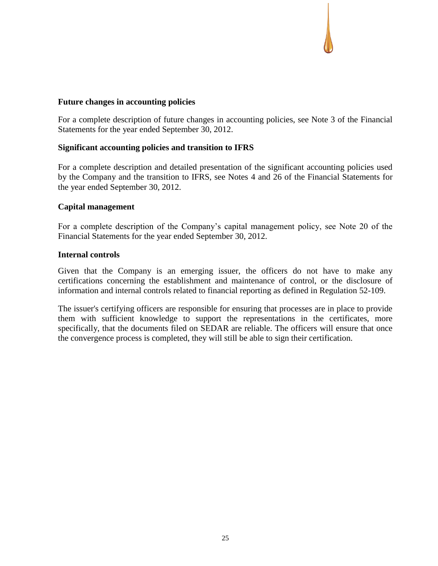## **Future changes in accounting policies**

For a complete description of future changes in accounting policies, see Note 3 of the Financial Statements for the year ended September 30, 2012.

### **Significant accounting policies and transition to IFRS**

For a complete description and detailed presentation of the significant accounting policies used by the Company and the transition to IFRS, see Notes 4 and 26 of the Financial Statements for the year ended September 30, 2012.

### **Capital management**

For a complete description of the Company's capital management policy, see Note 20 of the Financial Statements for the year ended September 30, 2012.

#### **Internal controls**

Given that the Company is an emerging issuer, the officers do not have to make any certifications concerning the establishment and maintenance of control, or the disclosure of information and internal controls related to financial reporting as defined in Regulation 52-109.

The issuer's certifying officers are responsible for ensuring that processes are in place to provide them with sufficient knowledge to support the representations in the certificates, more specifically, that the documents filed on SEDAR are reliable. The officers will ensure that once the convergence process is completed, they will still be able to sign their certification.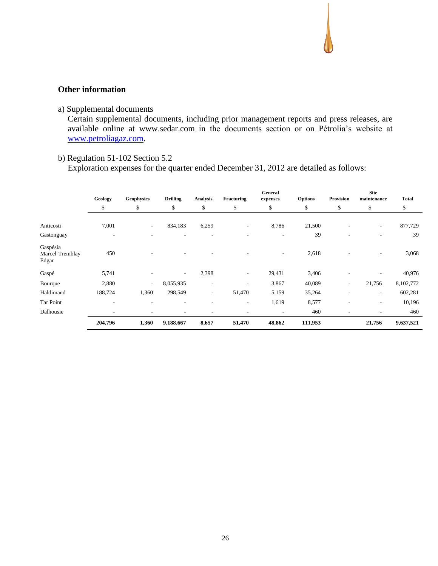## **Other information**

a) Supplemental documents

Certain supplemental documents, including prior management reports and press releases, are available online at [www.sedar.com](http://www.sedar.com/) in the documents section or on Pétrolia's website at [www.petroliagaz.com.](http://www.petroliagaz.com/)

## b) Regulation 51-102 Section 5.2

Exploration expenses for the quarter ended December 31, 2012 are detailed as follows:

|                                      | Geology                  | <b>Geophysics</b> | <b>Drilling</b>          | <b>Analysis</b> | Fracturing | General<br>expenses | Options | Provision                | <b>Site</b><br>maintenance | <b>Total</b> |
|--------------------------------------|--------------------------|-------------------|--------------------------|-----------------|------------|---------------------|---------|--------------------------|----------------------------|--------------|
|                                      | \$                       | \$                | \$                       | \$              | \$         | \$                  | \$      | \$                       | \$                         | \$           |
| Anticosti                            | 7,001                    | $\sim$            | 834,183                  | 6,259           | ۰          | 8,786               | 21,500  |                          | $\overline{\phantom{a}}$   | 877,729      |
| Gastonguay                           | $\overline{\phantom{a}}$ |                   | ٠                        |                 | ۰          | ٠                   | 39      | $\overline{\phantom{a}}$ | ۰                          | 39           |
| Gaspésia<br>Marcel-Tremblay<br>Edgar | 450                      |                   |                          |                 |            | ٠                   | 2,618   |                          |                            | 3,068        |
| Gaspé                                | 5,741                    |                   | $\overline{\phantom{a}}$ | 2,398           | ۰          | 29,431              | 3,406   |                          |                            | 40,976       |
| Bourque                              | 2,880                    | $\sim$            | 8,055,935                |                 |            | 3,867               | 40,089  | ۰.                       | 21,756                     | 8,102,772    |
| Haldimand                            | 188,724                  | 1,360             | 298,549                  | ۰.              | 51,470     | 5,159               | 35,264  | $\overline{\phantom{a}}$ | ٠                          | 602,281      |
| Tar Point                            | $\overline{\phantom{a}}$ | ۰                 | ٠                        |                 | ۰          | 1,619               | 8,577   |                          | ۰                          | 10,196       |
| Dalhousie                            | ۰.                       |                   | ٠                        |                 | ۰.         | ٠                   | 460     | $\overline{\phantom{a}}$ |                            | 460          |
|                                      | 204,796                  | 1,360             | 9,188,667                | 8,657           | 51,470     | 48,862              | 111,953 |                          | 21,756                     | 9,637,521    |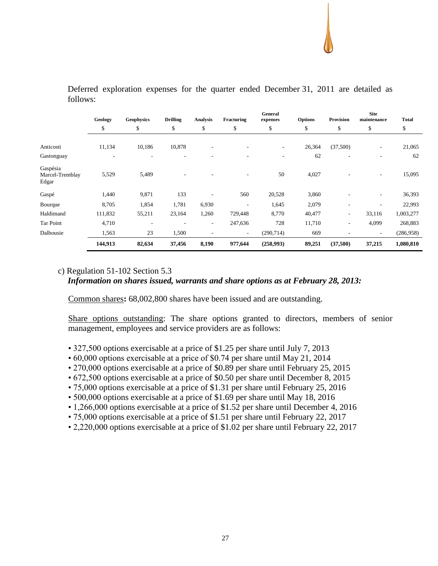#### **Geology Geophysics Drilling Analysis Fracturing General expenses Options Provision Site maintenance Total** \$ \$ \$ \$ \$ \$ \$ \$ \$ \$ Anticosti 11,134 10,186 10,878 - - - 26,364 (37,500) - 21,065 Gastonguay - - - - - - 62 - - 62 Gaspésia Marcel-Tremblay Edgar 5,529 5,489 - - - 50 4,027 - - 15,095 Gaspé 1,440 9,871 133 - 560 20,528 3,860 - - 36,393 Bourque 8,705 1,854 1,781 6,930 - 1,645 2,079 - - 22,993 Haldimand 111,832 55,211 23,164 1,260 729,448 8,770 40,477 - 33,116 1,003,277 Tar Point 4,710 - - - 247,636 728 11,710 - 4,099 268,883 Dalhousie 1,563 23 1,500 - - (290,714) 669 - - (286,958) **144,913 82,634 37,456 8,190 977,644 (258,993) 89,251 (37,500) 37,215 1,080,810**

Deferred exploration expenses for the quarter ended December 31, 2011 are detailed as follows:

# c) Regulation 51-102 Section 5.3

#### *Information on shares issued, warrants and share options as at February 28, 2013:*

Common shares**:** 68,002,800 shares have been issued and are outstanding.

Share options outstanding: The share options granted to directors, members of senior management, employees and service providers are as follows:

- 327,500 options exercisable at a price of \$1.25 per share until July 7, 2013
- 60,000 options exercisable at a price of \$0.74 per share until May 21, 2014
- 270,000 options exercisable at a price of \$0.89 per share until February 25, 2015
- 672,500 options exercisable at a price of \$0.50 per share until December 8, 2015
- 75,000 options exercisable at a price of \$1.31 per share until February 25, 2016
- 500,000 options exercisable at a price of \$1.69 per share until May 18, 2016
- 1,266,000 options exercisable at a price of \$1.52 per share until December 4, 2016
- 75,000 options exercisable at a price of \$1.51 per share until February 22, 2017
- 2,220,000 options exercisable at a price of \$1.02 per share until February 22, 2017